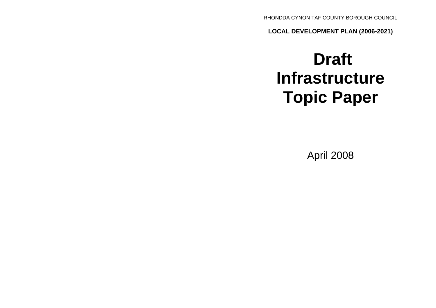RHONDDA CYNON TAF COUNTY BOROUGH COUNCIL

**LOCAL DEVELOPMENT PLAN (2006-2021)**

# **Draft Infrastructure Topic Paper**

April 2008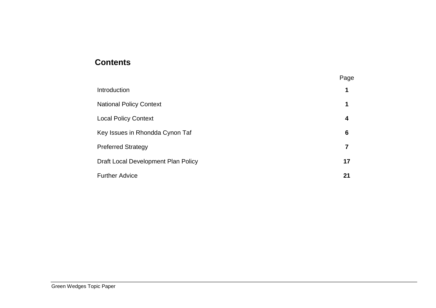## **Contents**

|                                     | Page |
|-------------------------------------|------|
| Introduction                        |      |
| <b>National Policy Context</b>      | 1    |
| <b>Local Policy Context</b>         | 4    |
| Key Issues in Rhondda Cynon Taf     | 6    |
| <b>Preferred Strategy</b>           | 7    |
| Draft Local Development Plan Policy | 17   |
| <b>Further Advice</b>               | 21   |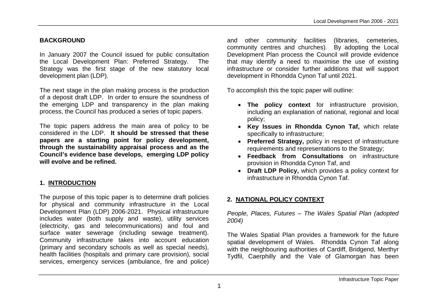## **BACKGROUND**

In January 2007 the Council issued for public consultation the Local Development Plan: Preferred Strategy. The Strategy was the first stage of the new statutory local development plan (LDP).

The next stage in the plan making process is the production of a deposit draft LDP. In order to ensure the soundness of the emerging LDP and transparency in the plan making process, the Council has produced a series of topic papers.

The topic papers address the main area of policy to be considered in the LDP. **It should be stressed that these papers are a starting point for policy development, through the sustainability appraisal process and as the Council's evidence base develops, emerging LDP policy will evolve and be refined.**

## **1. INTRODUCTION**

The purpose of this topic paper is to determine draft policies for physical and community infrastructure in the Local Development Plan (LDP) 2006-2021. Physical infrastructure includes water (both supply and waste), utility services (electricity, gas and telecommunications) and foul and surface water sewerage (including sewage treatment). Community infrastructure takes into account education (primary and secondary schools as well as special needs), health facilities (hospitals and primary care provision), social services, emergency services (ambulance, fire and police) and other community facilities (libraries, cemeteries, community centres and churches). By adopting the Local Development Plan process the Council will provide evidence that may identify a need to maximise the use of existing infrastructure or consider further additions that will support development in Rhondda Cynon Taf until 2021.

To accomplish this the topic paper will outline:

- **The policy context** for infrastructure provision, including an explanation of national, regional and local policy;
- **Key Issues in Rhondda Cynon Taf,** which relate specifically to infrastructure;
- **Preferred Strategy,** policy in respect of infrastructure requirements and representations to the Strategy;
- **Feedback from Consultations** on infrastructure provision in Rhondda Cynon Taf, and
- **Draft LDP Policy,** which provides a policy context for infrastructure in Rhondda Cynon Taf.

## **2. NATIONAL POLICY CONTEXT**

*People, Places, Futures – The Wales Spatial Plan (adopted 2004)* 

The Wales Spatial Plan provides a framework for the future spatial development of Wales. Rhondda Cynon Taf along with the neighbouring authorities of Cardiff, Bridgend, Merthyr Tydfil, Caerphilly and the Vale of Glamorgan has been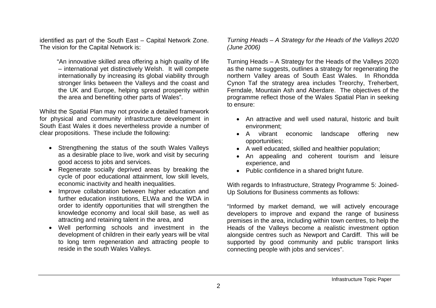identified as part of the South East – Capital Network Zone. The vision for the Capital Network is:

> "An innovative skilled area offering a high quality of life – international yet distinctively Welsh. It will compete internationally by increasing its global viability through stronger links between the Valleys and the coast and the UK and Europe, helping spread prosperity within the area and benefiting other parts of Wales".

Whilst the Spatial Plan may not provide a detailed framework for physical and community infrastructure development in South East Wales it does nevertheless provide a number of clear propositions. These include the following:

- Strengthening the status of the south Wales Valleys as a desirable place to live, work and visit by securing good access to jobs and services.
- Regenerate socially deprived areas by breaking the cycle of poor educational attainment, low skill levels, economic inactivity and health inequalities.
- Improve collaboration between higher education and further education institutions, ELWa and the WDA in order to identify opportunities that will strengthen the knowledge economy and local skill base, as well as attracting and retaining talent in the area, and
- Well performing schools and investment in the development of children in their early years will be vital to long term regeneration and attracting people to reside in the south Wales Valleys.

*Turning Heads – A Strategy for the Heads of the Valleys 2020 (June 2006)*

Turning Heads – A Strategy for the Heads of the Valleys 2020 as the name suggests, outlines a strategy for regenerating the northern Valley areas of South East Wales. In Rhondda Cynon Taf the strategy area includes Treorchy, Treherbert, Ferndale, Mountain Ash and Aberdare. The objectives of the programme reflect those of the Wales Spatial Plan in seeking to ensure:

- An attractive and well used natural, historic and built environment;
- A vibrant economic landscape offering new opportunities;
- A well educated, skilled and healthier population;
- An appealing and coherent tourism and leisure experience, and
- Public confidence in a shared bright future.

With regards to Infrastructure, Strategy Programme 5: Joined-Up Solutions for Business comments as follows:

"Informed by market demand, we will actively encourage developers to improve and expand the range of business premises in the area, including within town centres, to help the Heads of the Valleys become a realistic investment option alongside centres such as Newport and Cardiff. This will be supported by good community and public transport links connecting people with jobs and services".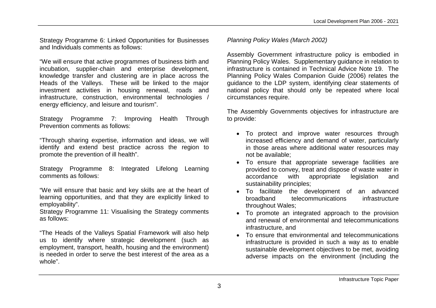Strategy Programme 6: Linked Opportunities for Businesses and Individuals comments as follows:

"We will ensure that active programmes of business birth and incubation, supplier-chain and enterprise development, knowledge transfer and clustering are in place across the Heads of the Valleys. These will be linked to the major investment activities in housing renewal, roads and infrastructure, construction, environmental technologies / energy efficiency, and leisure and tourism".

Strategy Programme 7: Improving Health Through Prevention comments as follows:

"Through sharing expertise, information and ideas, we will identify and extend best practice across the region to promote the prevention of ill health".

Strategy Programme 8: Integrated Lifelong Learning comments as follows:

"We will ensure that basic and key skills are at the heart of learning opportunities, and that they are explicitly linked to employability".

Strategy Programme 11: Visualising the Strategy comments as follows:

"The Heads of the Valleys Spatial Framework will also help us to identify where strategic development (such as employment, transport, health, housing and the environment) is needed in order to serve the best interest of the area as a whole".

*Planning Policy Wales (March 2002)*

Assembly Government infrastructure policy is embodied in Planning Policy Wales. Supplementary guidance in relation to infrastructure is contained in Technical Advice Note 19. The Planning Policy Wales Companion Guide (2006) relates the guidance to the LDP system, identifying clear statements of national policy that should only be repeated where local circumstances require.

The Assembly Governments objectives for infrastructure are to provide:

- To protect and improve water resources through increased efficiency and demand of water, particularly in those areas where additional water resources may not be available;
- To ensure that appropriate sewerage facilities are provided to convey, treat and dispose of waste water in accordance with appropriate legislation and sustainability principles;
- To facilitate the development of an advanced broadband telecommunications infrastructure throughout Wales;
- To promote an integrated approach to the provision and renewal of environmental and telecommunications infrastructure, and
- To ensure that environmental and telecommunications infrastructure is provided in such a way as to enable sustainable development objectives to be met, avoiding adverse impacts on the environment (including the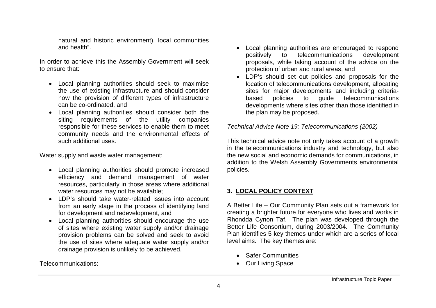natural and historic environment), local communities and health".

In order to achieve this the Assembly Government will seek to ensure that:

- Local planning authorities should seek to maximise the use of existing infrastructure and should consider how the provision of different types of infrastructure can be co-ordinated, and
- Local planning authorities should consider both the siting requirements of the utility companies responsible for these services to enable them to meet community needs and the environmental effects of such additional uses.

Water supply and waste water management:

- Local planning authorities should promote increased efficiency and demand management of water resources, particularly in those areas where additional water resources may not be available;
- LDP's should take water-related issues into account from an early stage in the process of identifying land for development and redevelopment, and
- Local planning authorities should encourage the use of sites where existing water supply and/or drainage provision problems can be solved and seek to avoid the use of sites where adequate water supply and/or drainage provision is unlikely to be achieved.

Telecommunications:

- Local planning authorities are encouraged to respond positively to telecommunications development proposals, while taking account of the advice on the protection of urban and rural areas, and
- LDP's should set out policies and proposals for the location of telecommunications development, allocating sites for major developments and including criteriabased policies to guide telecommunications developments where sites other than those identified in the plan may be proposed.

*Technical Advice Note 19: Telecommunications (2002)*

This technical advice note not only takes account of a growth in the telecommunications industry and technology, but also the new social and economic demands for communications, in addition to the Welsh Assembly Governments environmental policies.

## **3. LOCAL POLICY CONTEXT**

A Better Life – Our Community Plan sets out a framework for creating a brighter future for everyone who lives and works in Rhondda Cynon Taf. The plan was developed through the Better Life Consortium, during 2003/2004. The Community Plan identifies 5 key themes under which are a series of local level aims. The key themes are:

- Safer Communities
- Our Living Space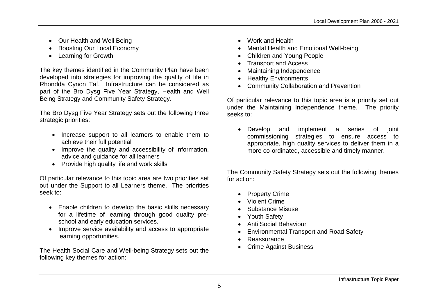- Our Health and Well Being
- Boosting Our Local Economy
- Learning for Growth

The key themes identified in the Community Plan have been developed into strategies for improving the quality of life in Rhondda Cynon Taf. Infrastructure can be considered as part of the Bro Dysg Five Year Strategy, Health and Well Being Strategy and Community Safety Strategy.

The Bro Dysg Five Year Strategy sets out the following three strategic priorities:

- Increase support to all learners to enable them to achieve their full potential
- Improve the quality and accessibility of information, advice and guidance for all learners
- Provide high quality life and work skills

Of particular relevance to this topic area are two priorities set out under the Support to all Learners theme. The priorities seek to:

- Enable children to develop the basic skills necessary for a lifetime of learning through good quality preschool and early education services.
- Improve service availability and access to appropriate learning opportunities.

The Health Social Care and Well-being Strategy sets out the following key themes for action:

- Work and Health
- Mental Health and Emotional Well-being
- Children and Young People
- Transport and Access
- Maintaining Independence
- Healthy Environments
- Community Collaboration and Prevention

Of particular relevance to this topic area is a priority set out under the Maintaining Independence theme. The priority seeks to:

 Develop and implement a series of joint commissioning strategies to ensure access to appropriate, high quality services to deliver them in a more co-ordinated, accessible and timely manner.

The Community Safety Strategy sets out the following themes for action:

- Property Crime
- Violent Crime
- Substance Misuse
- Youth Safety
- Anti Social Behaviour
- Environmental Transport and Road Safety
- **Reassurance**
- Crime Against Business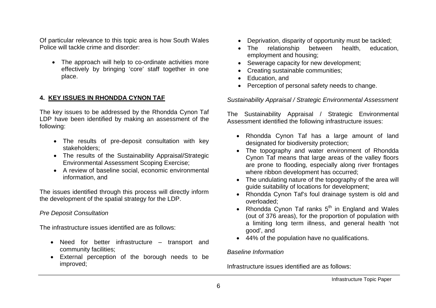Of particular relevance to this topic area is how South Wales Police will tackle crime and disorder:

 The approach will help to co-ordinate activities more effectively by bringing 'core' staff together in one place.

## **4. KEY ISSUES IN RHONDDA CYNON TAF**

The key issues to be addressed by the Rhondda Cynon Taf LDP have been identified by making an assessment of the following:

- The results of pre-deposit consultation with key stakeholders;
- The results of the Sustainability Appraisal/Strategic Environmental Assessment Scoping Exercise;
- A review of baseline social, economic environmental information, and

The issues identified through this process will directly inform the development of the spatial strategy for the LDP.

## *Pre Deposit Consultation*

The infrastructure issues identified are as follows:

- Need for better infrastructure transport and community facilities;
- External perception of the borough needs to be improved;
- Deprivation, disparity of opportunity must be tackled:
- The relationship between health, education, employment and housing;
- Sewerage capacity for new development;
- Creating sustainable communities:
- Education, and
- Perception of personal safety needs to change.

*Sustainability Appraisal / Strategic Environmental Assessment*

The Sustainability Appraisal / Strategic Environmental Assessment identified the following infrastructure issues:

- Rhondda Cynon Taf has a large amount of land designated for biodiversity protection;
- The topography and water environment of Rhondda Cynon Taf means that large areas of the valley floors are prone to flooding, especially along river frontages where ribbon development has occurred;
- The undulating nature of the topography of the area will guide suitability of locations for development;
- Rhondda Cynon Taf's foul drainage system is old and overloaded;
- Rhondda Cynon Taf ranks  $5<sup>th</sup>$  in England and Wales (out of 376 areas), for the proportion of population with a limiting long term illness, and general health 'not good', and
- 44% of the population have no qualifications.

*Baseline Information*

Infrastructure issues identified are as follows: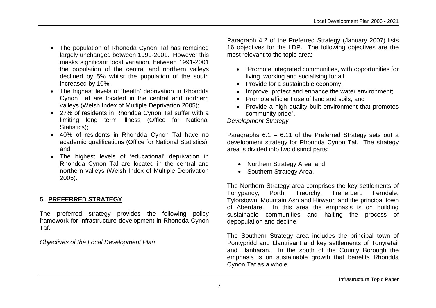- The population of Rhondda Cynon Taf has remained largely unchanged between 1991-2001. However this masks significant local variation, between 1991-2001 the population of the central and northern valleys declined by 5% whilst the population of the south increased by 10%;
- The highest levels of 'health' deprivation in Rhondda Cynon Taf are located in the central and northern valleys (Welsh Index of Multiple Deprivation 2005);
- 27% of residents in Rhondda Cynon Taf suffer with a limiting long term illness (Office for National Statistics):
- 40% of residents in Rhondda Cynon Taf have no academic qualifications (Office for National Statistics), and
- The highest levels of 'educational' deprivation in Rhondda Cynon Taf are located in the central and northern valleys (Welsh Index of Multiple Deprivation 2005).

## **5. PREFERRED STRATEGY**

The preferred strategy provides the following policy framework for infrastructure development in Rhondda Cynon Taf.

*Objectives of the Local Development Plan*

Paragraph 4.2 of the Preferred Strategy (January 2007) lists 16 objectives for the LDP. The following objectives are the most relevant to the topic area:

- "Promote integrated communities, with opportunities for living, working and socialising for all;
- Provide for a sustainable economy:
- Improve, protect and enhance the water environment:
- Promote efficient use of land and soils, and
- Provide a high quality built environment that promotes community pride".

## *Development Strategy*

Paragraphs 6.1 – 6.11 of the Preferred Strategy sets out a development strategy for Rhondda Cynon Taf. The strategy area is divided into two distinct parts:

- Northern Strategy Area, and
- Southern Strategy Area.

The Northern Strategy area comprises the key settlements of Tonypandy, Porth, Treorchy, Treherbert, Ferndale, Tylorstown, Mountain Ash and Hirwaun and the principal town of Aberdare. In this area the emphasis is on building sustainable communities and halting the process of depopulation and decline.

The Southern Strategy area includes the principal town of Pontypridd and Llantrisant and key settlements of Tonyrefail and Llanharan. In the south of the County Borough the emphasis is on sustainable growth that benefits Rhondda Cynon Taf as a whole.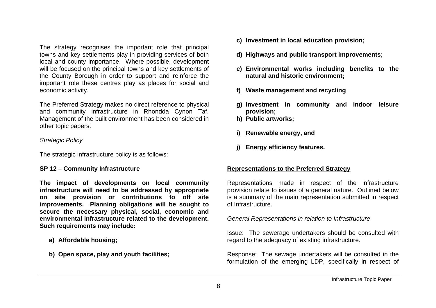The strategy recognises the important role that principal towns and key settlements play in providing services of both local and county importance. Where possible, development will be focused on the principal towns and key settlements of the County Borough in order to support and reinforce the important role these centres play as places for social and economic activity.

The Preferred Strategy makes no direct reference to physical and community infrastructure in Rhondda Cynon Taf. Management of the built environment has been considered in other topic papers.

#### *Strategic Policy*

The strategic infrastructure policy is as follows:

#### **SP 12 – Community Infrastructure**

**The impact of developments on local community infrastructure will need to be addressed by appropriate on site provision or contributions to off site improvements. Planning obligations will be sought to secure the necessary physical, social, economic and environmental infrastructure related to the development. Such requirements may include:**

- **a) Affordable housing;**
- **b) Open space, play and youth facilities;**
- **c) Investment in local education provision;**
- **d) Highways and public transport improvements;**
- **e) Environmental works including benefits to the natural and historic environment;**
- **f) Waste management and recycling**
- **g) Investment in community and indoor leisure provision;**
- **h) Public artworks;**
- **i) Renewable energy, and**
- **j) Energy efficiency features.**

## **Representations to the Preferred Strategy**

Representations made in respect of the infrastructure provision relate to issues of a general nature. Outlined below is a summary of the main representation submitted in respect of Infrastructure.

*General Representations in relation to Infrastructure*

Issue: The sewerage undertakers should be consulted with regard to the adequacy of existing infrastructure.

Response: The sewage undertakers will be consulted in the formulation of the emerging LDP, specifically in respect of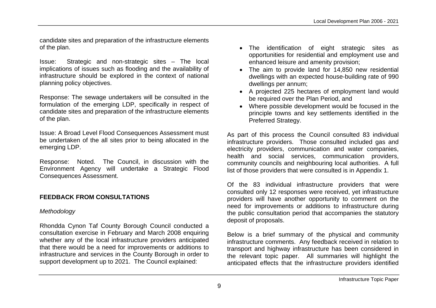candidate sites and preparation of the infrastructure elements of the plan.

Issue: Strategic and non-strategic sites – The local implications of issues such as flooding and the availability of infrastructure should be explored in the context of national planning policy objectives.

Response: The sewage undertakers will be consulted in the formulation of the emerging LDP, specifically in respect of candidate sites and preparation of the infrastructure elements of the plan.

Issue: A Broad Level Flood Consequences Assessment must be undertaken of the all sites prior to being allocated in the emerging LDP.

Response: Noted. The Council, in discussion with the Environment Agency will undertake a Strategic Flood Consequences Assessment.

## **FEEDBACK FROM CONSULTATIONS**

## *Methodology*

Rhondda Cynon Taf County Borough Council conducted a consultation exercise in February and March 2008 enquiring whether any of the local infrastructure providers anticipated that there would be a need for improvements or additions to infrastructure and services in the County Borough in order to support development up to 2021. The Council explained:

- The identification of eight strategic sites as opportunities for residential and employment use and enhanced leisure and amenity provision;
- The aim to provide land for 14,850 new residential dwellings with an expected house-building rate of 990 dwellings per annum;
- A projected 225 hectares of employment land would be required over the Plan Period, and
- Where possible development would be focused in the principle towns and key settlements identified in the Preferred Strategy.

As part of this process the Council consulted 83 individual infrastructure providers. Those consulted included gas and electricity providers, communication and water companies, health and social services, communication providers, community councils and neighbouring local authorities. A full list of those providers that were consulted is in Appendix 1.

Of the 83 individual infrastructure providers that were consulted only 12 responses were received, yet infrastructure providers will have another opportunity to comment on the need for improvements or additions to infrastructure during the public consultation period that accompanies the statutory deposit of proposals.

Below is a brief summary of the physical and community infrastructure comments. Any feedback received in relation to transport and highway infrastructure has been considered in the relevant topic paper. All summaries will highlight the anticipated effects that the infrastructure providers identified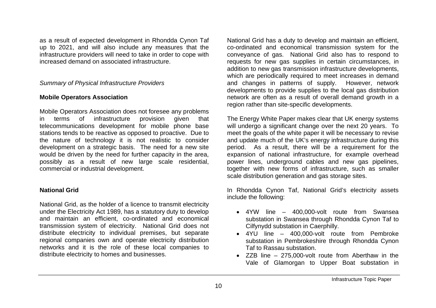as a result of expected development in Rhondda Cynon Taf up to 2021, and will also include any measures that the infrastructure providers will need to take in order to cope with increased demand on associated infrastructure.

#### *Summary of Physical Infrastructure Providers*

## **Mobile Operators Association**

Mobile Operators Association does not foresee any problems in terms of infrastructure provision given that telecommunications development for mobile phone base stations tends to be reactive as opposed to proactive. Due to the nature of technology it is not realistic to consider development on a strategic basis. The need for a new site would be driven by the need for further capacity in the area, possibly as a result of new large scale residential, commercial or industrial development.

#### **National Grid**

National Grid, as the holder of a licence to transmit electricity under the Electricity Act 1989, has a statutory duty to develop and maintain an efficient, co-ordinated and economical transmission system of electricity. National Grid does not distribute electricity to individual premises, but separate regional companies own and operate electricity distribution networks and it is the role of these local companies to distribute electricity to homes and businesses.

National Grid has a duty to develop and maintain an efficient, co-ordinated and economical transmission system for the conveyance of gas. National Grid also has to respond to requests for new gas supplies in certain circumstances, in addition to new gas transmission infrastructure developments, which are periodically required to meet increases in demand and changes in patterns of supply. However, network developments to provide supplies to the local gas distribution network are often as a result of overall demand growth in a region rather than site-specific developments.

The Energy White Paper makes clear that UK energy systems will undergo a significant change over the next 20 years. To meet the goals of the white paper it will be necessary to revise and update much of the UK's energy infrastructure during this period. As a result, there will be a requirement for the expansion of national infrastructure, for example overhead power lines, underground cables and new gas pipelines, together with new forms of infrastructure, such as smaller scale distribution generation and gas storage sites.

In Rhondda Cynon Taf, National Grid's electricity assets include the following:

- 4YW line 400,000-volt route from Swansea substation in Swansea through Rhondda Cynon Taf to Cilfynydd substation in Caerphilly.
- 4YU line 400,000-volt route from Pembroke substation in Pembrokeshire through Rhondda Cynon Taf to Rassau substation.
- ZZB line 275,000-volt route from Aberthaw in the Vale of Glamorgan to Upper Boat substation in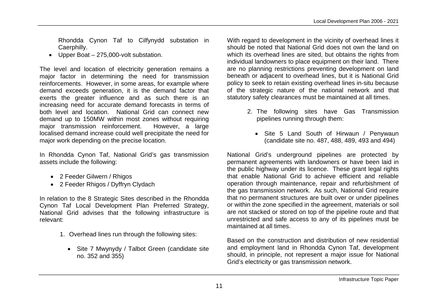Rhondda Cynon Taf to Cilfynydd substation in Caerphilly.

Upper Boat – 275,000-volt substation.

The level and location of electricity generation remains a major factor in determining the need for transmission reinforcements. However, in some areas, for example where demand exceeds generation, it is the demand factor that exerts the greater influence and as such there is an increasing need for accurate demand forecasts in terms of both level and location. National Grid can connect new demand up to 150MW within most zones without requiring major transmission reinforcement. However, a large localised demand increase could well precipitate the need for major work depending on the precise location.

In Rhondda Cynon Taf, National Grid's gas transmission assets include the following:

- 2 Feeder Gilwern / Rhigos
- 2 Feeder Rhigos / Dyffryn Clydach

In relation to the 8 Strategic Sites described in the Rhondda Cynon Taf Local Development Plan Preferred Strategy, National Grid advises that the following infrastructure is relevant:

- 1. Overhead lines run through the following sites:
	- Site 7 Mwynydy / Talbot Green (candidate site no. 352 and 355)

With regard to development in the vicinity of overhead lines it should be noted that National Grid does not own the land on which its overhead lines are sited, but obtains the rights from individual landowners to place equipment on their land. There are no planning restrictions preventing development on land beneath or adjacent to overhead lines, but it is National Grid policy to seek to retain existing overhead lines in-situ because of the strategic nature of the national network and that statutory safety clearances must be maintained at all times.

- 2. The following sites have Gas Transmission pipelines running through them:
	- Site 5 Land South of Hirwaun / Penywaun (candidate site no. 487, 488, 489, 493 and 494)

National Grid's underground pipelines are protected by permanent agreements with landowners or have been laid in the public highway under its licence. These grant legal rights that enable National Grid to achieve efficient and reliable operation through maintenance, repair and refurbishment of the gas transmission network. As such, National Grid require that no permanent structures are built over or under pipelines or within the zone specified in the agreement, materials or soil are not stacked or stored on top of the pipeline route and that unrestricted and safe access to any of its pipelines must be maintained at all times.

Based on the construction and distribution of new residential and employment land in Rhondda Cynon Taf, development should, in principle, not represent a major issue for National Grid's electricity or gas transmission network.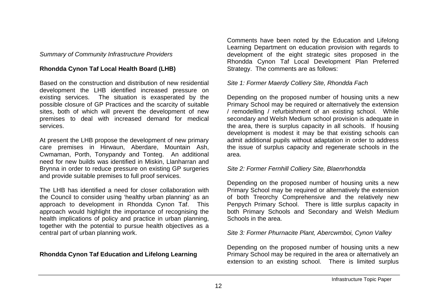#### *Summary of Community Infrastructure Providers*

## **Rhondda Cynon Taf Local Health Board (LHB)**

Based on the construction and distribution of new residential development the LHB identified increased pressure on existing services. The situation is exasperated by the possible closure of GP Practices and the scarcity of suitable sites, both of which will prevent the development of new premises to deal with increased demand for medical services.

At present the LHB propose the development of new primary care premises in Hirwaun, Aberdare, Mountain Ash, Cwmaman, Porth, Tonypandy and Tonteg. An additional need for new builds was identified in Miskin, Llanharran and Brynna in order to reduce pressure on existing GP surgeries and provide suitable premises to full proof services.

The LHB has identified a need for closer collaboration with the Council to consider using 'healthy urban planning' as an approach to development in Rhondda Cynon Taf. This approach would highlight the importance of recognising the health implications of policy and practice in urban planning, together with the potential to pursue health objectives as a central part of urban planning work.

## **Rhondda Cynon Taf Education and Lifelong Learning**

Comments have been noted by the Education and Lifelong Learning Department on education provision with regards to development of the eight strategic sites proposed in the Rhondda Cynon Taf Local Development Plan Preferred Strategy. The comments are as follows:

#### *Site 1: Former Maerdy Colliery Site, Rhondda Fach*

Depending on the proposed number of housing units a new Primary School may be required or alternatively the extension / remodelling / refurbishment of an existing school. While secondary and Welsh Medium school provision is adequate in the area, there is surplus capacity in all schools. If housing development is modest it may be that existing schools can admit additional pupils without adaptation in order to address the issue of surplus capacity and regenerate schools in the area.

## *Site 2: Former Fernhill Colliery Site, Blaenrhondda*

Depending on the proposed number of housing units a new Primary School may be required or alternatively the extension of both Treorchy Comprehensive and the relatively new Penpych Primary School. There is little surplus capacity in both Primary Schools and Secondary and Welsh Medium Schools in the area.

## *Site 3: Former Phurnacite Plant, Abercwmboi, Cynon Valley*

Depending on the proposed number of housing units a new Primary School may be required in the area or alternatively an extension to an existing school. There is limited surplus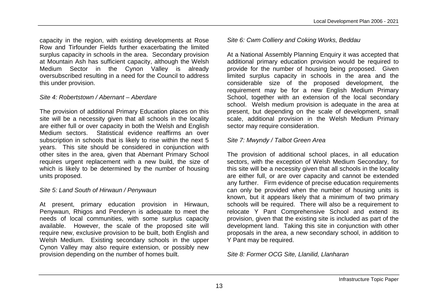capacity in the region, with existing developments at Rose Row and Tirfounder Fields further exacerbating the limited surplus capacity in schools in the area. Secondary provision at Mountain Ash has sufficient capacity, although the Welsh Medium Sector in the Cynon Valley is already oversubscribed resulting in a need for the Council to address this under provision.

#### *Site 4: Robertstown / Abernant – Aberdare*

The provision of additional Primary Education places on this site will be a necessity given that all schools in the locality are either full or over capacity in both the Welsh and English Medium sectors. Statistical evidence reaffirms an over subscription in schools that is likely to rise within the next 5 years. This site should be considered in conjunction with other sites in the area, given that Abernant Primary School requires urgent replacement with a new build, the size of which is likely to be determined by the number of housing units proposed.

#### *Site 5: Land South of Hirwaun / Penywaun*

At present, primary education provision in Hirwaun, Penywaun, Rhigos and Penderyn is adequate to meet the needs of local communities, with some surplus capacity available. However, the scale of the proposed site will require new, exclusive provision to be built, both English and Welsh Medium. Existing secondary schools in the upper Cynon Valley may also require extension, or possibly new provision depending on the number of homes built.

#### *Site 6: Cwm Colliery and Coking Works, Beddau*

At a National Assembly Planning Enquiry it was accepted that additional primary education provision would be required to provide for the number of housing being proposed. Given limited surplus capacity in schools in the area and the considerable size of the proposed development, the requirement may be for a new English Medium Primary School, together with an extension of the local secondary school. Welsh medium provision is adequate in the area at present, but depending on the scale of development, small scale, additional provision in the Welsh Medium Primary sector may require consideration.

## *Site 7: Mwyndy / Talbot Green Area*

The provision of additional school places, in all education sectors, with the exception of Welsh Medium Secondary, for this site will be a necessity given that all schools in the locality are either full, or are over capacity and cannot be extended any further. Firm evidence of precise education requirements can only be provided when the number of housing units is known, but it appears likely that a minimum of two primary schools will be required. There will also be a requirement to relocate Y Pant Comprehensive School and extend its provision, given that the existing site is included as part of the development land. Taking this site in conjunction with other proposals in the area, a new secondary school, in addition to Y Pant may be required.

*Site 8: Former OCG Site, Llanilid, Llanharan*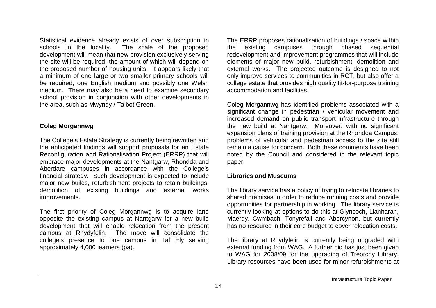Statistical evidence already exists of over subscription in schools in the locality. The scale of the proposed development will mean that new provision exclusively serving the site will be required, the amount of which will depend on the proposed number of housing units. It appears likely that a minimum of one large or two smaller primary schools will be required, one English medium and possibly one Welsh medium. There may also be a need to examine secondary school provision in conjunction with other developments in the area, such as Mwyndy / Talbot Green.

#### **Coleg Morgannwg**

The College's Estate Strategy is currently being rewritten and the anticipated findings will support proposals for an Estate Reconfiguration and Rationalisation Project (ERRP) that will embrace major developments at the Nantgarw, Rhondda and Aberdare campuses in accordance with the College's financial strategy. Such development is expected to include major new builds, refurbishment projects to retain buildings, demolition of existing buildings and external works improvements.

The first priority of Coleg Morgannwg is to acquire land opposite the existing campus at Nantgarw for a new build development that will enable relocation from the present campus at Rhydyfelin. The move will consolidate the college's presence to one campus in Taf Ely serving approximately 4,000 learners (pa).

The ERRP proposes rationalisation of buildings / space within the existing campuses through phased sequential redevelopment and improvement programmes that will include elements of major new build, refurbishment, demolition and external works. The projected outcome is designed to not only improve services to communities in RCT, but also offer a college estate that provides high quality fit-for-purpose training accommodation and facilities.

Coleg Morgannwg has identified problems associated with a significant change in pedestrian / vehicular movement and increased demand on public transport infrastructure through the new build at Nantgarw. Moreover, with no significant expansion plans of training provision at the Rhondda Campus, problems of vehicular and pedestrian access to the site still remain a cause for concern. Both these comments have been noted by the Council and considered in the relevant topic paper.

#### **Libraries and Museums**

The library service has a policy of trying to relocate libraries to shared premises in order to reduce running costs and provide opportunities for partnership in working. The library service is currently looking at options to do this at Glyncoch, Llanharan, Maerdy, Cwmbach, Tonyrefail and Abercynon, but currently has no resource in their core budget to cover relocation costs.

The library at Rhydyfelin is currently being upgraded with external funding from WAG. A further bid has just been given to WAG for 2008/09 for the upgrading of Treorchy Library. Library resources have been used for minor refurbishments at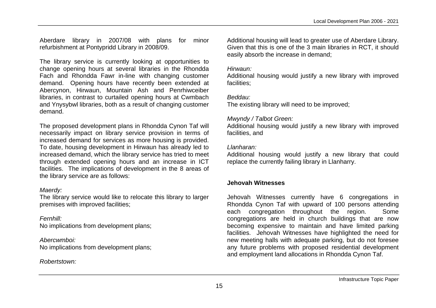Aberdare library in 2007/08 with plans for minor refurbishment at Pontypridd Library in 2008/09.

The library service is currently looking at opportunities to change opening hours at several libraries in the Rhondda Fach and Rhondda Fawr in-line with changing customer demand. Opening hours have recently been extended at Abercynon, Hirwaun, Mountain Ash and Penrhiwceiber libraries, in contrast to curtailed opening hours at Cwmbach and Ynysybwl libraries, both as a result of changing customer demand.

The proposed development plans in Rhondda Cynon Taf will necessarily impact on library service provision in terms of increased demand for services as more housing is provided. To date, housing development in Hirwaun has already led to increased demand, which the library service has tried to meet through extended opening hours and an increase in ICT facilities. The implications of development in the 8 areas of the library service are as follows:

#### *Maerdy:*

The library service would like to relocate this library to larger premises with improved facilities;

#### *Fernhill:*

No implications from development plans;

#### *Abercwmboi:*

No implications from development plans;

## *Robertstown:*

Additional housing will lead to greater use of Aberdare Library. Given that this is one of the 3 main libraries in RCT, it should easily absorb the increase in demand;

#### *Hirwaun:*

Additional housing would justify a new library with improved facilities;

#### *Beddau:*

The existing library will need to be improved;

#### *Mwyndy / Talbot Green:*

Additional housing would justify a new library with improved facilities, and

#### *Llanharan:*

Additional housing would justify a new library that could replace the currently failing library in Llanharry.

## **Jehovah Witnesses**

Jehovah Witnesses currently have 6 congregations in Rhondda Cynon Taf with upward of 100 persons attending each congregation throughout the region. Some congregations are held in church buildings that are now becoming expensive to maintain and have limited parking facilities. Jehovah Witnesses have highlighted the need for new meeting halls with adequate parking, but do not foresee any future problems with proposed residential development and employment land allocations in Rhondda Cynon Taf.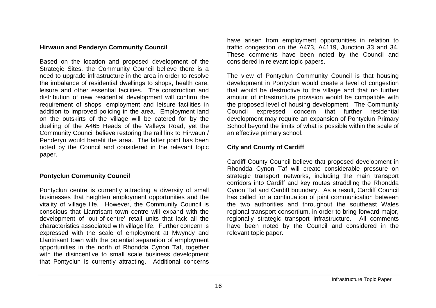#### **Hirwaun and Penderyn Community Council**

Based on the location and proposed development of the Strategic Sites, the Community Council believe there is a need to upgrade infrastructure in the area in order to resolve the imbalance of residential dwellings to shops, health care, leisure and other essential facilities. The construction and distribution of new residential development will confirm the requirement of shops, employment and leisure facilities in addition to improved policing in the area. Employment land on the outskirts of the village will be catered for by the duelling of the A465 Heads of the Valleys Road, yet the Community Council believe restoring the rail link to Hirwaun / Penderyn would benefit the area. The latter point has been noted by the Council and considered in the relevant topic paper.

#### **Pontyclun Community Council**

Pontyclun centre is currently attracting a diversity of small businesses that heighten employment opportunities and the vitality of village life. However, the Community Council is conscious that Llantrisant town centre will expand with the development of 'out-of-centre' retail units that lack all the characteristics associated with village life. Further concern is expressed with the scale of employment at Mwyndy and Llantrisant town with the potential separation of employment opportunities in the north of Rhondda Cynon Taf, together with the disincentive to small scale business development that Pontyclun is currently attracting. Additional concerns

have arisen from employment opportunities in relation to traffic congestion on the A473, A4119, Junction 33 and 34. These comments have been noted by the Council and considered in relevant topic papers.

The view of Pontyclun Community Council is that housing development in Pontyclun would create a level of congestion that would be destructive to the village and that no further amount of infrastructure provision would be compatible with the proposed level of housing development. The Community Council expressed concern that further residential development may require an expansion of Pontyclun Primary School beyond the limits of what is possible within the scale of an effective primary school.

#### **City and County of Cardiff**

Cardiff County Council believe that proposed development in Rhondda Cynon Taf will create considerable pressure on strategic transport networks, including the main transport corridors into Cardiff and key routes straddling the Rhondda Cynon Taf and Cardiff boundary. As a result, Cardiff Council has called for a continuation of joint communication between the two authorities and throughout the southeast Wales regional transport consortium, in order to bring forward major, regionally strategic transport infrastructure. All comments have been noted by the Council and considered in the relevant topic paper.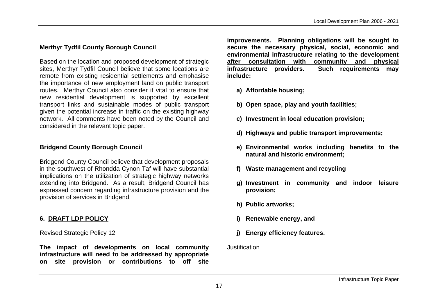## **Merthyr Tydfil County Borough Council**

Based on the location and proposed development of strategic sites, Merthyr Tydfil Council believe that some locations are remote from existing residential settlements and emphasise the importance of new employment land on public transport routes. Merthyr Council also consider it vital to ensure that new residential development is supported by excellent transport links and sustainable modes of public transport given the potential increase in traffic on the existing highway network. All comments have been noted by the Council and considered in the relevant topic paper.

## **Bridgend County Borough Council**

Bridgend County Council believe that development proposals in the southwest of Rhondda Cynon Taf will have substantial implications on the utilization of strategic highway networks extending into Bridgend. As a result, Bridgend Council has expressed concern regarding infrastructure provision and the provision of services in Bridgend.

## **6. DRAFT LDP POLICY**

#### Revised Strategic Policy 12

**The impact of developments on local community infrastructure will need to be addressed by appropriate on site provision or contributions to off site**  **improvements. Planning obligations will be sought to secure the necessary physical, social, economic and environmental infrastructure relating to the development after consultation with community and physical infrastructure providers. Such requirements may include:** 

- **a) Affordable housing;**
- **b) Open space, play and youth facilities;**
- **c) Investment in local education provision;**
- **d) Highways and public transport improvements;**
- **e) Environmental works including benefits to the natural and historic environment;**
- **f) Waste management and recycling**
- **g) Investment in community and indoor leisure provision;**
- **h) Public artworks;**
- **i) Renewable energy, and**
- **j) Energy efficiency features.**

#### **Justification**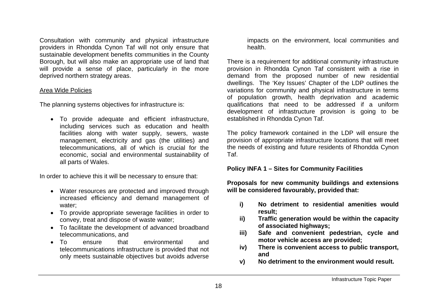Consultation with community and physical infrastructure providers in Rhondda Cynon Taf will not only ensure that sustainable development benefits communities in the County Borough, but will also make an appropriate use of land that will provide a sense of place, particularly in the more deprived northern strategy areas.

#### Area Wide Policies

The planning systems objectives for infrastructure is:

 To provide adequate and efficient infrastructure, including services such as education and health facilities along with water supply, sewers, waste management, electricity and gas (the utilities) and telecommunications, all of which is crucial for the economic, social and environmental sustainability of all parts of Wales.

In order to achieve this it will be necessary to ensure that:

- Water resources are protected and improved through increased efficiency and demand management of water;
- To provide appropriate sewerage facilities in order to convey, treat and dispose of waste water;
- To facilitate the development of advanced broadband telecommunications, and
- To ensure that environmental and telecommunications infrastructure is provided that not only meets sustainable objectives but avoids adverse

impacts on the environment, local communities and health.

There is a requirement for additional community infrastructure provision in Rhondda Cynon Taf consistent with a rise in demand from the proposed number of new residential dwellings. The 'Key Issues' Chapter of the LDP outlines the variations for community and physical infrastructure in terms of population growth, health deprivation and academic qualifications that need to be addressed if a uniform development of infrastructure provision is going to be established in Rhondda Cynon Taf.

The policy framework contained in the LDP will ensure the provision of appropriate infrastructure locations that will meet the needs of existing and future residents of Rhondda Cynon Taf.

**Policy INFA 1 – Sites for Community Facilities**

**Proposals for new community buildings and extensions will be considered favourably, provided that:** 

- **i) No detriment to residential amenities would result;**
- **ii) Traffic generation would be within the capacity of associated highways;**
- **iii) Safe and convenient pedestrian, cycle and motor vehicle access are provided;**
- **iv) There is convenient access to public transport, and**
- **v) No detriment to the environment would result.**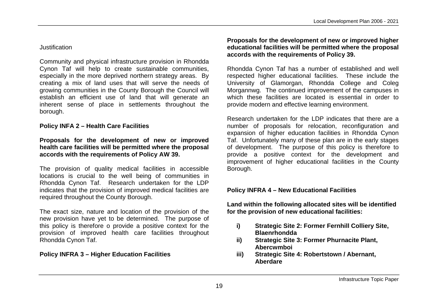#### **Justification**

Community and physical infrastructure provision in Rhondda Cynon Taf will help to create sustainable communities, especially in the more deprived northern strategy areas. By creating a mix of land uses that will serve the needs of growing communities in the County Borough the Council will establish an efficient use of land that will generate an inherent sense of place in settlements throughout the borough.

## **Policy INFA 2 – Health Care Facilities**

#### **Proposals for the development of new or improved health care facilities will be permitted where the proposal accords with the requirements of Policy AW 39.**

The provision of quality medical facilities in accessible locations is crucial to the well being of communities in Rhondda Cynon Taf. Research undertaken for the LDP indicates that the provision of improved medical facilities are required throughout the County Borough.

The exact size, nature and location of the provision of the new provision have yet to be determined. The purpose of this policy is therefore o provide a positive context for the provision of improved health care facilities throughout Rhondda Cynon Taf.

## **Policy INFRA 3 – Higher Education Facilities**

#### **Proposals for the development of new or improved higher educational facilities will be permitted where the proposal accords with the requirements of Policy 39.**

Rhondda Cynon Taf has a number of established and well respected higher educational facilities. These include the University of Glamorgan, Rhondda College and Coleg Morgannwg. The continued improvement of the campuses in which these facilities are located is essential in order to provide modern and effective learning environment.

Research undertaken for the LDP indicates that there are a number of proposals for relocation, reconfiguration and expansion of higher education facilities in Rhondda Cynon Taf. Unfortunately many of these plan are in the early stages of development. The purpose of this policy is therefore to provide a positive context for the development and improvement of higher educational facilities in the County Borough.

## **Policy INFRA 4 – New Educational Facilities**

**Land within the following allocated sites will be identified for the provision of new educational facilities:**

- **i) Strategic Site 2: Former Fernhill Colliery Site, Blaenrhondda**
- **ii) Strategic Site 3: Former Phurnacite Plant, Abercwmboi**
- **iii) Strategic Site 4: Robertstown / Abernant, Aberdare**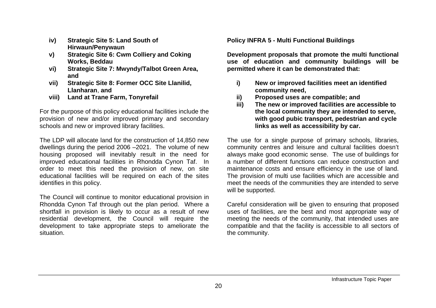- **iv) Strategic Site 5: Land South of Hirwaun/Penywaun**
- **v) Strategic Site 6: Cwm Colliery and Coking Works, Beddau**
- **vi) Strategic Site 7: Mwyndy/Talbot Green Area, and**
- **vii) Strategic Site 8: Former OCC Site Llanilid, Llanharan**, **and**
- **viii) Land at Trane Farm, Tonyrefail**

For the purpose of this policy educational facilities include the provision of new and/or improved primary and secondary schools and new or improved library facilities.

The LDP will allocate land for the construction of 14,850 new dwellings during the period 2006 –2021. The volume of new housing proposed will inevitably result in the need for improved educational facilities in Rhondda Cynon Taf. In order to meet this need the provision of new, on site educational facilities will be required on each of the sites identifies in this policy.

The Council will continue to monitor educational provision in Rhondda Cynon Taf through out the plan period. Where a shortfall in provision is likely to occur as a result of new residential development, the Council will require the development to take appropriate steps to ameliorate the situation.

**Policy INFRA 5 - Multi Functional Buildings** 

**Development proposals that promote the multi functional use of education and community buildings will be permitted where it can be demonstrated that:**

- **i) New or improved facilities meet an identified community need,**
- **ii) Proposed uses are compatible; and**
- **iii) The new or improved facilities are accessible to the local community they are intended to serve, with good pubic transport, pedestrian and cycle links as well as accessibility by car.**

The use for a single purpose of primary schools, libraries, community centres and leisure and cultural facilities doesn't always make good economic sense. The use of buildings for a number of different functions can reduce construction and maintenance costs and ensure efficiency in the use of land. The provision of multi use facilities which are accessible and meet the needs of the communities they are intended to serve will be supported.

Careful consideration will be given to ensuring that proposed uses of facilities, are the best and most appropriate way of meeting the needs of the community, that intended uses are compatible and that the facility is accessible to all sectors of the community.